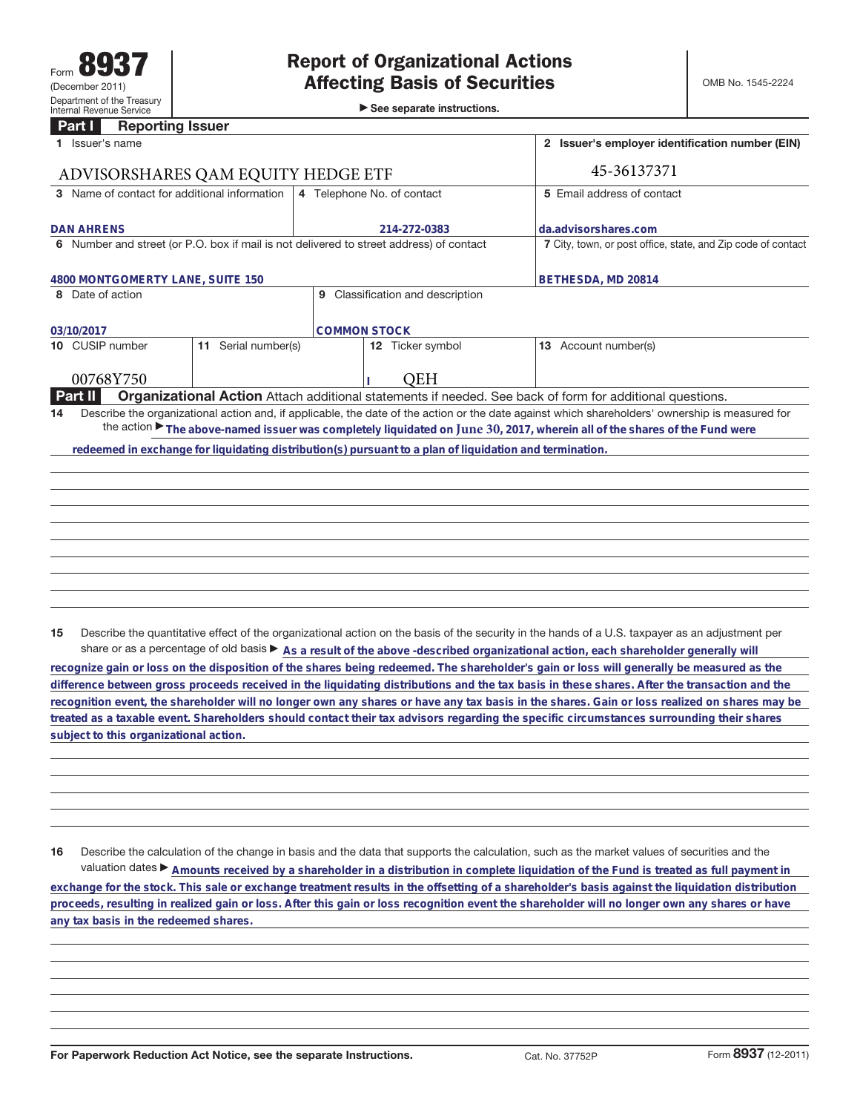►<br>► See separate instructions.

## **Part I Reporting Issuer**

|                                                                                                                                                | Issuer's name                                                                                                                                   |                        |                                                                                         |                  |  | 2 Issuer's employer identification number (EIN)              |  |
|------------------------------------------------------------------------------------------------------------------------------------------------|-------------------------------------------------------------------------------------------------------------------------------------------------|------------------------|-----------------------------------------------------------------------------------------|------------------|--|--------------------------------------------------------------|--|
| ADVISORSHARES QAM EQUITY HEDGE ETF                                                                                                             |                                                                                                                                                 |                        |                                                                                         |                  |  | 45-36137371                                                  |  |
| 3 Name of contact for additional information                                                                                                   |                                                                                                                                                 |                        | 4 Telephone No. of contact                                                              |                  |  | 5 Email address of contact                                   |  |
|                                                                                                                                                |                                                                                                                                                 |                        |                                                                                         |                  |  |                                                              |  |
| <b>DAN AHRENS</b>                                                                                                                              |                                                                                                                                                 |                        | 214-272-0383                                                                            |                  |  | da.advisorshares.com                                         |  |
|                                                                                                                                                |                                                                                                                                                 |                        | 6 Number and street (or P.O. box if mail is not delivered to street address) of contact |                  |  | 7 City, town, or post office, state, and Zip code of contact |  |
|                                                                                                                                                |                                                                                                                                                 |                        |                                                                                         |                  |  |                                                              |  |
|                                                                                                                                                | 4800 MONTGOMERTY LANE, SUITE 150                                                                                                                |                        |                                                                                         |                  |  | BETHESDA, MD 20814                                           |  |
|                                                                                                                                                | 8 Date of action<br>Classification and description<br>9                                                                                         |                        |                                                                                         |                  |  |                                                              |  |
|                                                                                                                                                |                                                                                                                                                 |                        |                                                                                         |                  |  |                                                              |  |
| <b>COMMON STOCK</b><br>03/10/2017                                                                                                              |                                                                                                                                                 |                        |                                                                                         |                  |  |                                                              |  |
|                                                                                                                                                | 10 CUSIP number                                                                                                                                 | Serial number(s)<br>11 |                                                                                         | 12 Ticker symbol |  | 13 Account number(s)                                         |  |
|                                                                                                                                                |                                                                                                                                                 |                        |                                                                                         |                  |  |                                                              |  |
|                                                                                                                                                | 00768Y750                                                                                                                                       |                        |                                                                                         | <b>OEH</b>       |  |                                                              |  |
| <b>Part II</b><br>Organizational Action Attach additional statements if needed. See back of form for additional questions.                     |                                                                                                                                                 |                        |                                                                                         |                  |  |                                                              |  |
| 14                                                                                                                                             | Describe the organizational action and, if applicable, the date of the action or the date against which shareholders' ownership is measured for |                        |                                                                                         |                  |  |                                                              |  |
| the action $\blacktriangleright$ The above-named issuer was completely liquidated on June 30, 2017, wherein all of the shares of the Fund were |                                                                                                                                                 |                        |                                                                                         |                  |  |                                                              |  |
|                                                                                                                                                | redeemed in exchange for liquidating distribution(s) pursuant to a plan of liquidation and termination.                                         |                        |                                                                                         |                  |  |                                                              |  |
|                                                                                                                                                |                                                                                                                                                 |                        |                                                                                         |                  |  |                                                              |  |
|                                                                                                                                                |                                                                                                                                                 |                        |                                                                                         |                  |  |                                                              |  |
|                                                                                                                                                |                                                                                                                                                 |                        |                                                                                         |                  |  |                                                              |  |
|                                                                                                                                                |                                                                                                                                                 |                        |                                                                                         |                  |  |                                                              |  |
|                                                                                                                                                |                                                                                                                                                 |                        |                                                                                         |                  |  |                                                              |  |
|                                                                                                                                                |                                                                                                                                                 |                        |                                                                                         |                  |  |                                                              |  |
|                                                                                                                                                |                                                                                                                                                 |                        |                                                                                         |                  |  |                                                              |  |
|                                                                                                                                                |                                                                                                                                                 |                        |                                                                                         |                  |  |                                                              |  |
|                                                                                                                                                |                                                                                                                                                 |                        |                                                                                         |                  |  |                                                              |  |
|                                                                                                                                                |                                                                                                                                                 |                        |                                                                                         |                  |  |                                                              |  |

**15** Describe the quantitative effect of the organizational action on the basis of the security in the hands of a U.S. taxpayer as an adjustment per share or as a percentage of old basis  $\blacktriangleright$  As a result of the above -described organizational action, each shareholder generally will

**recognize gain or loss on the disposition of the shares being redeemed. The shareholder's gain or loss will generally be measured as the difference between gross proceeds received in the liquidating distributions and the tax basis in these shares. After the transaction and the recognition event, the shareholder will no longer own any shares or have any tax basis in the shares. Gain or loss realized on shares may be treated as a taxable event. Shareholders should contact their tax advisors regarding the specific circumstances surrounding their shares subject to this organizational action.**

**16** Describe the calculation of the change in basis and the data that supports the calculation, such as the market values of securities and the valuation dates ▶ Amounts received by a shareholder in a distribution in complete liquidation of the Fund is treated as full payment in **exchange for the stock. This sale or exchange treatment results in the offsetting of a shareholder's basis against the liquidation distribution proceeds, resulting in realized gain or loss. After this gain or loss recognition event the shareholder will no longer own any shares or have any tax basis in the redeemed shares.**